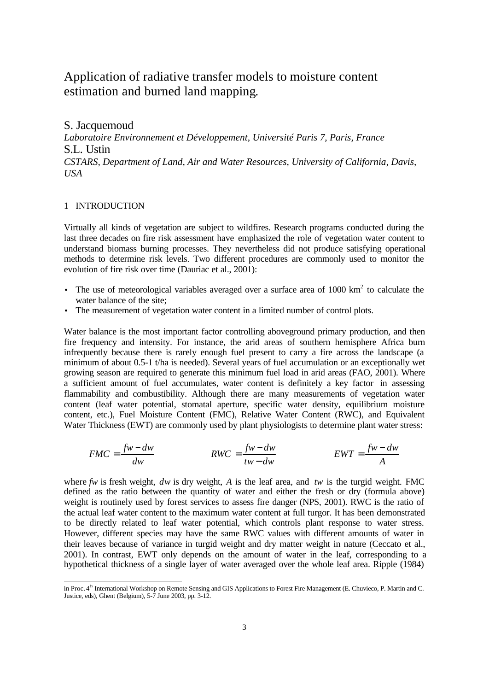# Application of radiative transfer models to moisture content estimation and burned land mapping.

S. Jacquemoud *Laboratoire Environnement et Développement, Université Paris 7, Paris, France* S.L. Ustin *CSTARS, Department of Land, Air and Water Resources, University of California, Davis, USA*

# 1 INTRODUCTION

l

Virtually all kinds of vegetation are subject to wildfires. Research programs conducted during the last three decades on fire risk assessment have emphasized the role of vegetation water content to understand biomass burning processes. They nevertheless did not produce satisfying operational methods to determine risk levels. Two different procedures are commonly used to monitor the evolution of fire risk over time (Dauriac et al., 2001):

- The use of meteorological variables averaged over a surface area of  $1000 \text{ km}^2$  to calculate the water balance of the site;
- The measurement of vegetation water content in a limited number of control plots.

Water balance is the most important factor controlling aboveground primary production, and then fire frequency and intensity. For instance, the arid areas of southern hemisphere Africa burn infrequently because there is rarely enough fuel present to carry a fire across the landscape (a minimum of about 0.5-1 t/ha is needed). Several years of fuel accumulation or an exceptionally wet growing season are required to generate this minimum fuel load in arid areas (FAO, 2001). Where a sufficient amount of fuel accumulates, water content is definitely a key factor in assessing flammability and combustibility. Although there are many measurements of vegetation water content (leaf water potential, stomatal aperture, specific water density, equilibrium moisture content, etc.), Fuel Moisture Content (FMC), Relative Water Content (RWC), and Equivalent Water Thickness (EWT) are commonly used by plant physiologists to determine plant water stress:

$$
FMC = \frac{fw - dw}{dw}
$$
  

$$
RWC = \frac{fw - dw}{tw - dw}
$$
  

$$
EWT = \frac{fw - dw}{A}
$$

where  $f w$  is fresh weight,  $d w$  is dry weight, A is the leaf area, and  $t w$  is the turgid weight. FMC defined as the ratio between the quantity of water and either the fresh or dry (formula above) weight is routinely used by forest services to assess fire danger (NPS, 2001). RWC is the ratio of the actual leaf water content to the maximum water content at full turgor. It has been demonstrated to be directly related to leaf water potential, which controls plant response to water stress. However, different species may have the same RWC values with different amounts of water in their leaves because of variance in turgid weight and dry matter weight in nature (Ceccato et al., 2001). In contrast, EWT only depends on the amount of water in the leaf, corresponding to a hypothetical thickness of a single layer of water averaged over the whole leaf area. Ripple (1984)

in Proc. 4<sup>th</sup> International Workshop on Remote Sensing and GIS Applications to Forest Fire Management (E. Chuvieco, P. Martin and C. Justice, eds), Ghent (Belgium), 5-7 June 2003, pp. 3-12.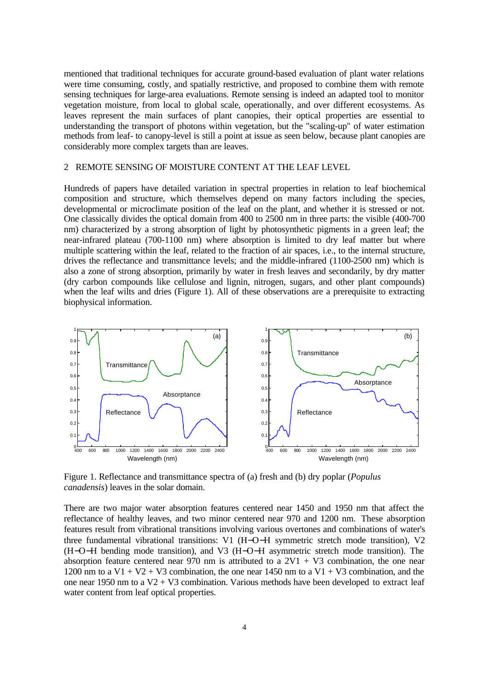mentioned that traditional techniques for accurate ground-based evaluation of plant water relations were time consuming, costly, and spatially restrictive, and proposed to combine them with remote sensing techniques for large-area evaluations. Remote sensing is indeed an adapted tool to monitor vegetation moisture, from local to global scale, operationally, and over different ecosystems. As leaves represent the main surfaces of plant canopies, their optical properties are essential to understanding the transport of photons within vegetation, but the "scaling-up" of water estimation methods from leaf- to canopy-level is still a point at issue as seen below, because plant canopies are considerably more complex targets than are leaves.

## 2 REMOTE SENSING OF MOISTURE CONTENT AT THE LEAF LEVEL

Hundreds of papers have detailed variation in spectral properties in relation to leaf biochemical composition and structure, which themselves depend on many factors including the species, developmental or microclimate position of the leaf on the plant, and whether it is stressed or not. One classically divides the optical domain from 400 to 2500 nm in three parts: the visible (400-700 nm) characterized by a strong absorption of light by photosynthetic pigments in a green leaf; the near-infrared plateau (700-1100 nm) where absorption is limited to dry leaf matter but where multiple scattering within the leaf, related to the fraction of air spaces, i.e., to the internal structure, drives the reflectance and transmittance levels; and the middle-infrared (1100-2500 nm) which is also a zone of strong absorption, primarily by water in fresh leaves and secondarily, by dry matter (dry carbon compounds like cellulose and lignin, nitrogen, sugars, and other plant compounds) when the leaf wilts and dries (Figure 1). All of these observations are a prerequisite to extracting biophysical information.



Figure 1. Reflectance and transmittance spectra of (a) fresh and (b) dry poplar (*Populus canadensis*) leaves in the solar domain.

There are two major water absorption features centered near 1450 and 1950 nm that affect the reflectance of healthy leaves, and two minor centered near 970 and 1200 nm. These absorption features result from vibrational transitions involving various overtones and combinations of water's three fundamental vibrational transitions: V1 (H−O−H symmetric stretch mode transition), V2 (H−O−H bending mode transition), and V3 (H−O−H asymmetric stretch mode transition). The absorption feature centered near 970 nm is attributed to a  $2V1 + V3$  combination, the one near 1200 nm to a  $V1 + V2 + V3$  combination, the one near 1450 nm to a  $V1 + V3$  combination, and the one near 1950 nm to a  $V2 + V3$  combination. Various methods have been developed to extract leaf water content from leaf optical properties.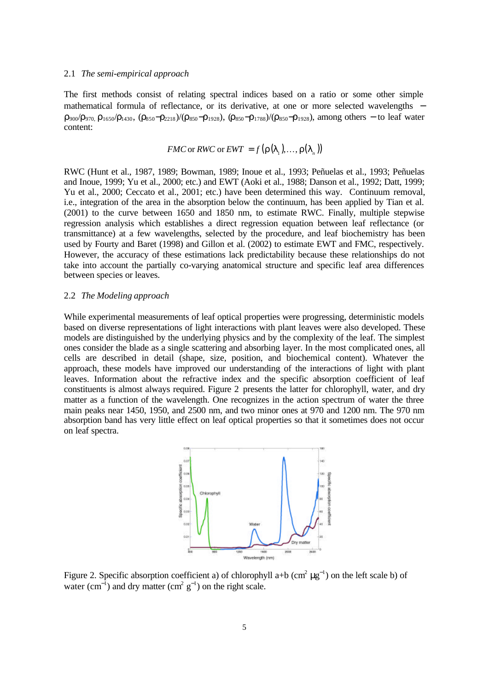#### 2.1 *The semi-empirical approach*

The first methods consist of relating spectral indices based on a ratio or some other simple mathematical formula of reflectance, or its derivative, at one or more selected wavelengths −  $\rho_{900}/\rho_{970}$ ,  $\rho_{1650}/\rho_{1430}$ ,  $(\rho_{850}-\rho_{2218})/(\rho_{850}-\rho_{1928})$ ,  $(\rho_{850}-\rho_{1788})/(\rho_{850}-\rho_{1928})$ , among others – to leaf water content:

$$
FMC \text{ or } RWC \text{ or } EWT = f(\mathbf{r}(\mathbf{l}_1),...,\mathbf{r}(\mathbf{l}_n))
$$

RWC (Hunt et al., 1987, 1989; Bowman, 1989; Inoue et al., 1993; Peñuelas et al., 1993; Peñuelas and Inoue, 1999; Yu et al., 2000; etc.) and EWT (Aoki et al., 1988; Danson et al., 1992; Datt, 1999; Yu et al., 2000; Ceccato et al., 2001; etc.) have been determined this way. Continuum removal, i.e., integration of the area in the absorption below the continuum, has been applied by Tian et al. (2001) to the curve between 1650 and 1850 nm, to estimate RWC. Finally, multiple stepwise regression analysis which establishes a direct regression equation between leaf reflectance (or transmittance) at a few wavelengths, selected by the procedure, and leaf biochemistry has been used by Fourty and Baret (1998) and Gillon et al. (2002) to estimate EWT and FMC, respectively. However, the accuracy of these estimations lack predictability because these relationships do not take into account the partially co-varying anatomical structure and specific leaf area differences between species or leaves.

#### 2.2 *The Modeling approach*

While experimental measurements of leaf optical properties were progressing, deterministic models based on diverse representations of light interactions with plant leaves were also developed. These models are distinguished by the underlying physics and by the complexity of the leaf. The simplest ones consider the blade as a single scattering and absorbing layer. In the most complicated ones, all cells are described in detail (shape, size, position, and biochemical content). Whatever the approach, these models have improved our understanding of the interactions of light with plant leaves. Information about the refractive index and the specific absorption coefficient of leaf constituents is almost always required. Figure 2 presents the latter for chlorophyll, water, and dry matter as a function of the wavelength. One recognizes in the action spectrum of water the three main peaks near 1450, 1950, and 2500 nm, and two minor ones at 970 and 1200 nm. The 970 nm absorption band has very little effect on leaf optical properties so that it sometimes does not occur on leaf spectra.



Figure 2. Specific absorption coefficient a) of chlorophyll a+b (cm<sup>2</sup>  $\mu$ g<sup>-1</sup>) on the left scale b) of water (cm<sup>-1</sup>) and dry matter (cm<sup>2</sup> g<sup>-1</sup>) on the right scale.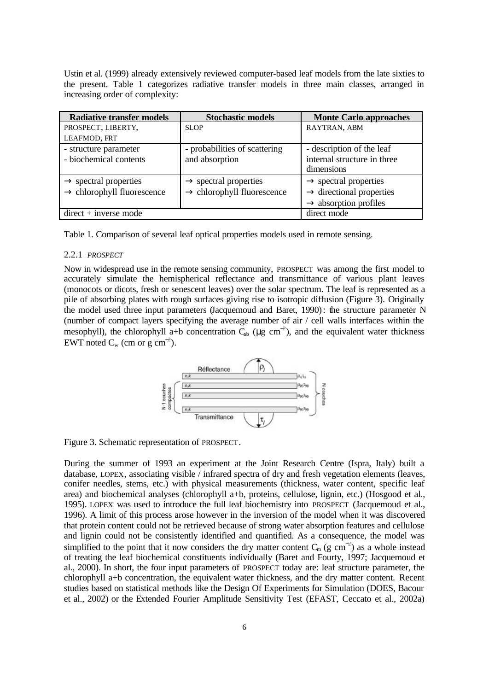Ustin et al. (1999) already extensively reviewed computer-based leaf models from the late sixties to the present. Table 1 categorizes radiative transfer models in three main classes, arranged in increasing order of complexity:

| <b>Radiative transfer models</b>       | <b>Stochastic models</b>               | <b>Monte Carlo approaches</b>        |
|----------------------------------------|----------------------------------------|--------------------------------------|
| PROSPECT, LIBERTY,                     | <b>SLOP</b>                            | RAYTRAN, ABM                         |
| LEAFMOD, FRT                           |                                        |                                      |
| - structure parameter                  | - probabilities of scattering          | - description of the leaf            |
| - biochemical contents                 | and absorption                         | internal structure in three          |
|                                        |                                        | dimensions                           |
| $\rightarrow$ spectral properties      | $\rightarrow$ spectral properties      | $\rightarrow$ spectral properties    |
| $\rightarrow$ chlorophyll fluorescence | $\rightarrow$ chlorophyll fluorescence | $\rightarrow$ directional properties |
|                                        |                                        | $\rightarrow$ absorption profiles    |
| $direct + inverse mode$                |                                        | direct mode                          |

Table 1. Comparison of several leaf optical properties models used in remote sensing.

### 2.2.1 *PROSPECT*

Now in widespread use in the remote sensing community, PROSPECT was among the first model to accurately simulate the hemispherical reflectance and transmittance of various plant leaves (monocots or dicots, fresh or senescent leaves) over the solar spectrum. The leaf is represented as a pile of absorbing plates with rough surfaces giving rise to isotropic diffusion (Figure 3). Originally the model used three input parameters (Jacquemoud and Baret, 1990): the structure parameter N (number of compact layers specifying the average number of air / cell walls interfaces within the mesophyll), the chlorophyll a+b concentration  $C_{ab}$  ( $\mu$ g cm<sup>-2</sup>), and the equivalent water thickness EWT noted  $C_w$  (cm or g cm<sup>-2</sup>).



Figure 3. Schematic representation of PROSPECT.

During the summer of 1993 an experiment at the Joint Research Centre (Ispra, Italy) built a database, LOPEX, associating visible / infrared spectra of dry and fresh vegetation elements (leaves, conifer needles, stems, etc.) with physical measurements (thickness, water content, specific leaf area) and biochemical analyses (chlorophyll a+b, proteins, cellulose, lignin, etc.) (Hosgood et al., 1995). LOPEX was used to introduce the full leaf biochemistry into PROSPECT (Jacquemoud et al., 1996). A limit of this process arose however in the inversion of the model when it was discovered that protein content could not be retrieved because of strong water absorption features and cellulose and lignin could not be consistently identified and quantified. As a consequence, the model was simplified to the point that it now considers the dry matter content  $C_m$  (g cm<sup>-2</sup>) as a whole instead of treating the leaf biochemical constituents individually (Baret and Fourty, 1997; Jacquemoud et al., 2000). In short, the four input parameters of PROSPECT today are: leaf structure parameter, the chlorophyll a+b concentration, the equivalent water thickness, and the dry matter content. Recent studies based on statistical methods like the Design Of Experiments for Simulation (DOES, Bacour et al., 2002) or the Extended Fourier Amplitude Sensitivity Test (EFAST, Ceccato et al., 2002a)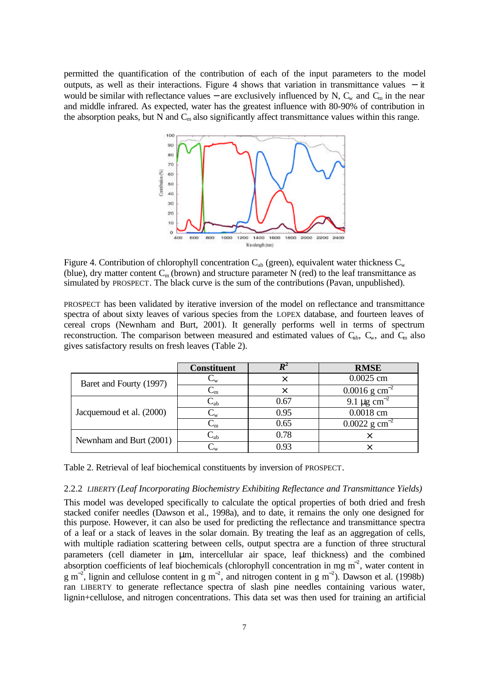permitted the quantification of the contribution of each of the input parameters to the model outputs, as well as their interactions. Figure 4 shows that variation in transmittance values − it would be similar with reflectance values – are exclusively influenced by N,  $C_w$  and  $C_m$  in the near and middle infrared. As expected, water has the greatest influence with 80-90% of contribution in the absorption peaks, but N and  $C<sub>m</sub>$  also significantly affect transmittance values within this range.



Figure 4. Contribution of chlorophyll concentration  $C_{ab}$  (green), equivalent water thickness  $C_w$ (blue), dry matter content  $C_m$  (brown) and structure parameter N (red) to the leaf transmittance as simulated by PROSPECT. The black curve is the sum of the contributions (Pavan, unpublished).

PROSPECT has been validated by iterative inversion of the model on reflectance and transmittance spectra of about sixty leaves of various species from the LOPEX database, and fourteen leaves of cereal crops (Newnham and Burt, 2001). It generally performs well in terms of spectrum reconstruction. The comparison between measured and estimated values of  $C_{ab}$ ,  $C_{w}$ , and  $C_{m}$  also gives satisfactory results on fresh leaves (Table 2).

|                          | <b>Constituent</b>        |      | <b>RMSE</b>                  |
|--------------------------|---------------------------|------|------------------------------|
| Baret and Fourty (1997)  | $\mathsf{L}_\mathrm{W}$   |      | 0.0025 cm                    |
|                          | $\rm C_m$                 |      | $0.0016$ g cm <sup>-2</sup>  |
| Jacquemoud et al. (2000) | $\rm C_{ab}$              | 0.67 | 9.1 $\mu$ g cm <sup>-2</sup> |
|                          | $\mathrm{C}_{\mathrm{w}}$ | 0.95 | 0.0018 cm                    |
|                          | $\textsf{C}_{\textsf{m}}$ | 0.65 | $0.0022$ g cm <sup>-2</sup>  |
| Newnham and Burt (2001)  | $\mathbb{C}_{\rm ab}$     | 0.78 |                              |
|                          |                           | 0 93 |                              |

Table 2. Retrieval of leaf biochemical constituents by inversion of PROSPECT.

#### 2.2.2 *LIBERTY (Leaf Incorporating Biochemistry Exhibiting Reflectance and Transmittance Yields)*

This model was developed specifically to calculate the optical properties of both dried and fresh stacked conifer needles (Dawson et al., 1998a), and to date, it remains the only one designed for this purpose. However, it can also be used for predicting the reflectance and transmittance spectra of a leaf or a stack of leaves in the solar domain. By treating the leaf as an aggregation of cells, with multiple radiation scattering between cells, output spectra are a function of three structural parameters (cell diameter in μm, intercellular air space, leaf thickness) and the combined absorption coefficients of leaf biochemicals (chlorophyll concentration in mg m<sup>-2</sup>, water content in  $g$  m<sup>-2</sup>, lignin and cellulose content in g m<sup>-2</sup>, and nitrogen content in g m<sup>-2</sup>). Dawson et al. (1998b) ran LIBERTY to generate reflectance spectra of slash pine needles containing various water, lignin+cellulose, and nitrogen concentrations. This data set was then used for training an artificial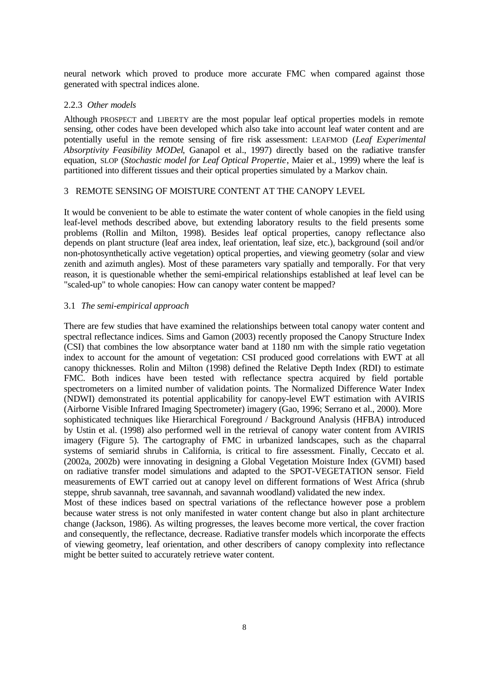neural network which proved to produce more accurate FMC when compared against those generated with spectral indices alone.

## 2.2.3 *Other models*

Although PROSPECT and LIBERTY are the most popular leaf optical properties models in remote sensing, other codes have been developed which also take into account leaf water content and are potentially useful in the remote sensing of fire risk assessment: LEAFMOD (*Leaf Experimental Absorptivity Feasibility MODel*, Ganapol et al., 1997) directly based on the radiative transfer equation, SLOP (*Stochastic model for Leaf Optical Propertie*, Maier et al., 1999) where the leaf is partitioned into different tissues and their optical properties simulated by a Markov chain.

# 3 REMOTE SENSING OF MOISTURE CONTENT AT THE CANOPY LEVEL

It would be convenient to be able to estimate the water content of whole canopies in the field using leaf-level methods described above, but extending laboratory results to the field presents some problems (Rollin and Milton, 1998). Besides leaf optical properties, canopy reflectance also depends on plant structure (leaf area index, leaf orientation, leaf size, etc.), background (soil and/or non-photosynthetically active vegetation) optical properties, and viewing geometry (solar and view zenith and azimuth angles). Most of these parameters vary spatially and temporally. For that very reason, it is questionable whether the semi-empirical relationships established at leaf level can be "scaled-up" to whole canopies: How can canopy water content be mapped?

# 3.1 *The semi-empirical approach*

There are few studies that have examined the relationships between total canopy water content and spectral reflectance indices. Sims and Gamon (2003) recently proposed the Canopy Structure Index (CSI) that combines the low absorptance water band at 1180 nm with the simple ratio vegetation index to account for the amount of vegetation: CSI produced good correlations with EWT at all canopy thicknesses. Rolin and Milton (1998) defined the Relative Depth Index (RDI) to estimate FMC. Both indices have been tested with reflectance spectra acquired by field portable spectrometers on a limited number of validation points. The Normalized Difference Water Index (NDWI) demonstrated its potential applicability for canopy-level EWT estimation with AVIRIS (Airborne Visible Infrared Imaging Spectrometer) imagery (Gao, 1996; Serrano et al., 2000). More sophisticated techniques like Hierarchical Foreground / Background Analysis (HFBA) introduced by Ustin et al. (1998) also performed well in the retrieval of canopy water content from AVIRIS imagery (Figure 5). The cartography of FMC in urbanized landscapes, such as the chaparral systems of semiarid shrubs in California, is critical to fire assessment. Finally, Ceccato et al. (2002a, 2002b) were innovating in designing a Global Vegetation Moisture Index (GVMI) based on radiative transfer model simulations and adapted to the SPOT-VEGETATION sensor. Field measurements of EWT carried out at canopy level on different formations of West Africa (shrub steppe, shrub savannah, tree savannah, and savannah woodland) validated the new index.

Most of these indices based on spectral variations of the reflectance however pose a problem because water stress is not only manifested in water content change but also in plant architecture change (Jackson, 1986). As wilting progresses, the leaves become more vertical, the cover fraction and consequently, the reflectance, decrease. Radiative transfer models which incorporate the effects of viewing geometry, leaf orientation, and other describers of canopy complexity into reflectance might be better suited to accurately retrieve water content.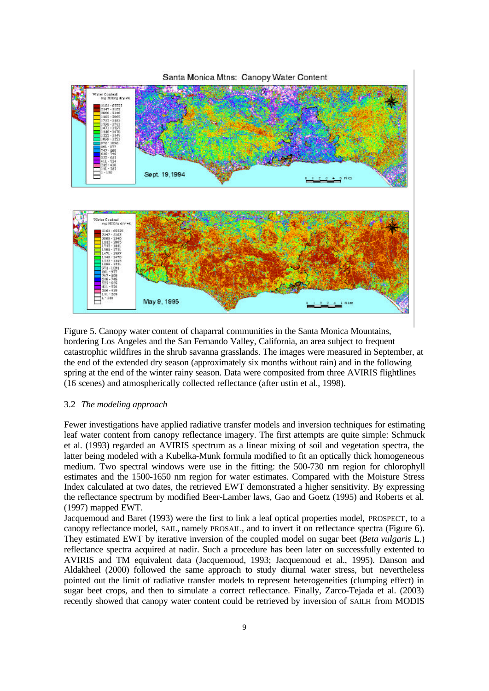

Figure 5. Canopy water content of chaparral communities in the Santa Monica Mountains, bordering Los Angeles and the San Fernando Valley, California, an area subject to frequent catastrophic wildfires in the shrub savanna grasslands. The images were measured in September, at the end of the extended dry season (approximately six months without rain) and in the following spring at the end of the winter rainy season. Data were composited from three AVIRIS flightlines (16 scenes) and atmospherically collected reflectance (after ustin et al., 1998).

### 3.2 *The modeling approach*

Fewer investigations have applied radiative transfer models and inversion techniques for estimating leaf water content from canopy reflectance imagery. The first attempts are quite simple: Schmuck et al. (1993) regarded an AVIRIS spectrum as a linear mixing of soil and vegetation spectra, the latter being modeled with a Kubelka-Munk formula modified to fit an optically thick homogeneous medium. Two spectral windows were use in the fitting: the 500-730 nm region for chlorophyll estimates and the 1500-1650 nm region for water estimates. Compared with the Moisture Stress Index calculated at two dates, the retrieved EWT demonstrated a higher sensitivity. By expressing the reflectance spectrum by modified Beer-Lamber laws, Gao and Goetz (1995) and Roberts et al. (1997) mapped EWT.

Jacquemoud and Baret (1993) were the first to link a leaf optical properties model, PROSPECT, to a canopy reflectance model, SAIL, namely PROSAIL, and to invert it on reflectance spectra (Figure 6). They estimated EWT by iterative inversion of the coupled model on sugar beet (*Beta vulgaris* L.) reflectance spectra acquired at nadir. Such a procedure has been later on successfully extented to AVIRIS and TM equivalent data (Jacquemoud, 1993; Jacquemoud et al., 1995). Danson and Aldakheel (2000) followed the same approach to study diurnal water stress, but nevertheless pointed out the limit of radiative transfer models to represent heterogeneities (clumping effect) in sugar beet crops, and then to simulate a correct reflectance. Finally, Zarco-Tejada et al. (2003) recently showed that canopy water content could be retrieved by inversion of SAILH from MODIS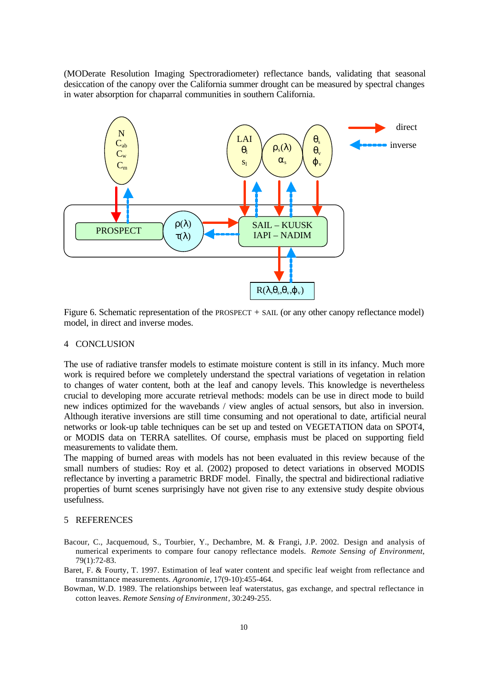(MODerate Resolution Imaging Spectroradiometer) reflectance bands, validating that seasonal desiccation of the canopy over the California summer drought can be measured by spectral changes in water absorption for chaparral communities in southern California.



Figure 6. Schematic representation of the PROSPECT + SAIL (or any other canopy reflectance model) model, in direct and inverse modes.

# 4 CONCLUSION

The use of radiative transfer models to estimate moisture content is still in its infancy. Much more work is required before we completely understand the spectral variations of vegetation in relation to changes of water content, both at the leaf and canopy levels. This knowledge is nevertheless crucial to developing more accurate retrieval methods: models can be use in direct mode to build new indices optimized for the wavebands / view angles of actual sensors, but also in inversion. Although iterative inversions are still time consuming and not operational to date, artificial neural networks or look-up table techniques can be set up and tested on VEGETATION data on SPOT4, or MODIS data on TERRA satellites. Of course, emphasis must be placed on supporting field measurements to validate them.

The mapping of burned areas with models has not been evaluated in this review because of the small numbers of studies: Roy et al. (2002) proposed to detect variations in observed MODIS reflectance by inverting a parametric BRDF model. Finally, the spectral and bidirectional radiative properties of burnt scenes surprisingly have not given rise to any extensive study despite obvious usefulness.

#### 5 REFERENCES

- Bacour, C., Jacquemoud, S., Tourbier, Y., Dechambre, M. & Frangi, J.P. 2002. Design and analysis of numerical experiments to compare four canopy reflectance models. *Remote Sensing of Environment*, 79(1):72-83.
- Baret, F. & Fourty, T. 1997. Estimation of leaf water content and specific leaf weight from reflectance and transmittance measurements. *Agronomie*, 17(9-10):455-464.
- Bowman, W.D. 1989. The relationships between leaf waterstatus, gas exchange, and spectral reflectance in cotton leaves. *Remote Sensing of Environment*, 30:249-255.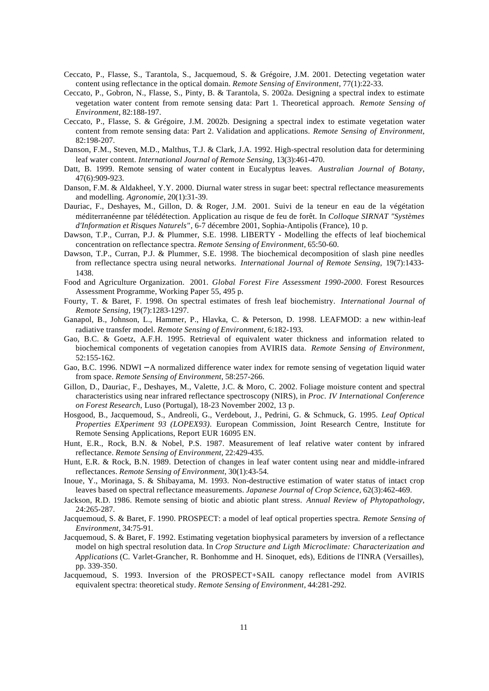- Ceccato, P., Flasse, S., Tarantola, S., Jacquemoud, S. & Grégoire, J.M. 2001. Detecting vegetation water content using reflectance in the optical domain. *Remote Sensing of Environment*, 77(1):22-33.
- Ceccato, P., Gobron, N., Flasse, S., Pinty, B. & Tarantola, S. 2002a. Designing a spectral index to estimate vegetation water content from remote sensing data: Part 1. Theoretical approach. *Remote Sensing of Environment*, 82:188-197.
- Ceccato, P., Flasse, S. & Grégoire, J.M. 2002b. Designing a spectral index to estimate vegetation water content from remote sensing data: Part 2. Validation and applications. *Remote Sensing of Environment*, 82:198-207.
- Danson, F.M., Steven, M.D., Malthus, T.J. & Clark, J.A. 1992. High-spectral resolution data for determining leaf water content. *International Journal of Remote Sensing*, 13(3):461-470.
- Datt, B. 1999. Remote sensing of water content in Eucalyptus leaves. *Australian Journal of Botany*, 47(6):909-923.
- Danson, F.M. & Aldakheel, Y.Y. 2000. Diurnal water stress in sugar beet: spectral reflectance measurements and modelling. *Agronomie*, 20(1):31-39.
- Dauriac, F., Deshayes, M., Gillon, D. & Roger, J.M. 2001. Suivi de la teneur en eau de la végétation méditerranéenne par télédétection. Application au risque de feu de forêt. In *Colloque SIRNAT "Systèmes d'Information et Risques Naturels"*, 6-7 décembre 2001, Sophia-Antipolis (France), 10 p.
- Dawson, T.P., Curran, P.J. & Plummer, S.E. 1998. LIBERTY Modelling the effects of leaf biochemical concentration on reflectance spectra. *Remote Sensing of Environment*, 65:50-60.
- Dawson, T.P., Curran, P.J. & Plummer, S.E. 1998. The biochemical decomposition of slash pine needles from reflectance spectra using neural networks. *International Journal of Remote Sensing*, 19(7):1433- 1438.
- Food and Agriculture Organization. 2001. *Global Forest Fire Assessment 1990-2000*. Forest Resources Assessment Programme, Working Paper 55, 495 p.
- Fourty, T. & Baret, F. 1998. On spectral estimates of fresh leaf biochemistry. *International Journal of Remote Sensing*, 19(7):1283-1297.
- Ganapol, B., Johnson, L., Hammer, P., Hlavka, C. & Peterson, D. 1998. LEAFMOD: a new within-leaf radiative transfer model. *Remote Sensing of Environment*, 6:182-193.
- Gao, B.C. & Goetz, A.F.H. 1995. Retrieval of equivalent water thickness and information related to biochemical components of vegetation canopies from AVIRIS data. *Remote Sensing of Environment*, 52:155-162.
- Gao, B.C. 1996. NDWI − A normalized difference water index for remote sensing of vegetation liquid water from space. *Remote Sensing of Environment*, 58:257-266.
- Gillon, D., Dauriac, F., Deshayes, M., Valette, J.C. & Moro, C. 2002. Foliage moisture content and spectral characteristics using near infrared reflectance spectroscopy (NIRS), in *Proc. IV International Conference on Forest Research*, Luso (Portugal), 18-23 November 2002, 13 p.
- Hosgood, B., Jacquemoud, S., Andreoli, G., Verdebout, J., Pedrini, G. & Schmuck, G. 1995. *Leaf Optical Properties EXperiment 93 (LOPEX93)*. European Commission, Joint Research Centre, Institute for Remote Sensing Applications, Report EUR 16095 EN.
- Hunt, E.R., Rock, B.N. & Nobel, P.S. 1987. Measurement of leaf relative water content by infrared reflectance. *Remote Sensing of Environment*, 22:429-435.
- Hunt, E.R. & Rock, B.N. 1989. Detection of changes in leaf water content using near and middle-infrared reflectances. *Remote Sensing of Environment*, 30(1):43-54.
- Inoue, Y., Morinaga, S. & Shibayama, M. 1993. Non-destructive estimation of water status of intact crop leaves based on spectral reflectance measurements. *Japanese Journal of Crop Science*, 62(3):462-469.
- Jackson, R.D. 1986. Remote sensing of biotic and abiotic plant stress. *Annual Review of Phytopathology*, 24:265-287.
- Jacquemoud, S. & Baret, F. 1990. PROSPECT: a model of leaf optical properties spectra. *Remote Sensing of Environment*, 34:75-91.
- Jacquemoud, S. & Baret, F. 1992. Estimating vegetation biophysical parameters by inversion of a reflectance model on high spectral resolution data. In *Crop Structure and Ligth Microclimate: Characterization and Applications* (C. Varlet-Grancher, R. Bonhomme and H. Sinoquet, eds), Editions de l'INRA (Versailles), pp. 339-350.
- Jacquemoud, S. 1993. Inversion of the PROSPECT+SAIL canopy reflectance model from AVIRIS equivalent spectra: theoretical study. *Remote Sensing of Environment*, 44:281-292.